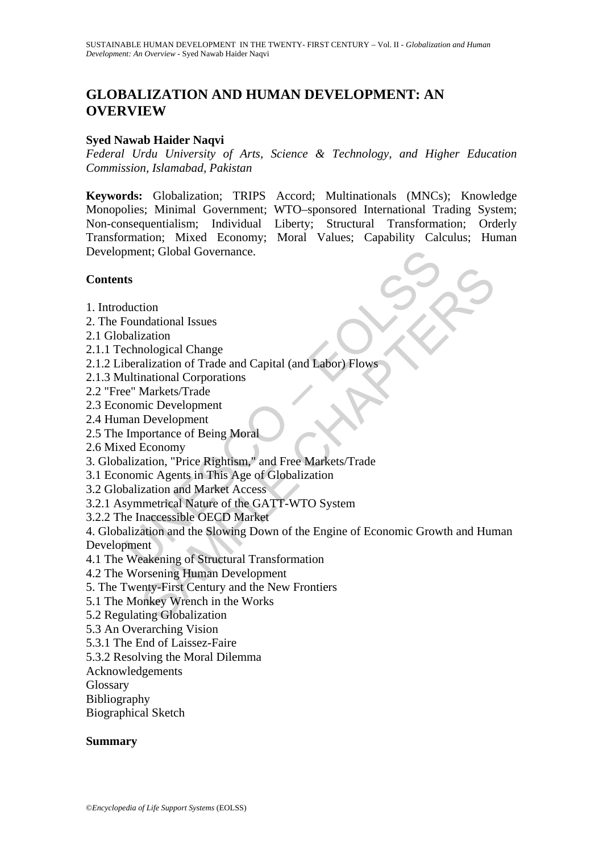# **GLOBALIZATION AND HUMAN DEVELOPMENT: AN OVERVIEW**

### **Syed Nawab Haider Naqvi**

*Federal Urdu University of Arts, Science & Technology, and Higher Education Commission, Islamabad, Pakistan* 

**Keywords:** Globalization; TRIPS Accord; Multinationals (MNCs); Knowledge Monopolies; Minimal Government; WTO–sponsored International Trading System; Non-consequentialism; Individual Liberty; Structural Transformation; Orderly Transformation; Mixed Economy; Moral Values; Capability Calculus; Human Development; Global Governance.

### **Contents**

- 1. Introduction
- 2. The Foundational Issues
- 2.1 Globalization
- 2.1.1 Technological Change
- 2.1.2 Liberalization of Trade and Capital (and Labor) Flows
- 2.1.3 Multinational Corporations
- 2.2 "Free" Markets/Trade
- 2.3 Economic Development
- 2.4 Human Development
- 2.5 The Importance of Being Moral
- 2.6 Mixed Economy
- 3. Globalization, "Price Rightism," and Free Markets/Trade
- 3.1 Economic Agents in This Age of Globalization
- 3.2 Globalization and Market Access
- 3.2.1 Asymmetrical Nature of the GATT-WTO System
- 3.2.2 The Inaccessible OECD Market

ment; Global Governance.<br>
<br>
ts<br>
duction<br>
coundational Issues<br>
balization<br>
chrological Change<br>
beralization of Trade and Capital (and Labor) Flows<br>
ultinational Corporations<br>
e" Markets/Trade<br>
nomic Development<br>
langorian m tion<br>
Indianal Issues<br>
Ization<br>
Inological Change<br>
Ization of Trade and Capital (and Labor) Flows<br>
Inational Corporations<br>
Markets/Trade<br>
Ince Development<br>
Economy<br>
Economy<br>
Ization and Market Access<br>
Ization and Market Ac 4. Globalization and the Slowing Down of the Engine of Economic Growth and Human Development

- 4.1 The Weakening of Structural Transformation
- 4.2 The Worsening Human Development
- 5. The Twenty-First Century and the New Frontiers
- 5.1 The Monkey Wrench in the Works
- 5.2 Regulating Globalization
- 5.3 An Overarching Vision
- 5.3.1 The End of Laissez-Faire
- 5.3.2 Resolving the Moral Dilemma
- Acknowledgements
- Glossary
- Bibliography
- Biographical Sketch

#### **Summary**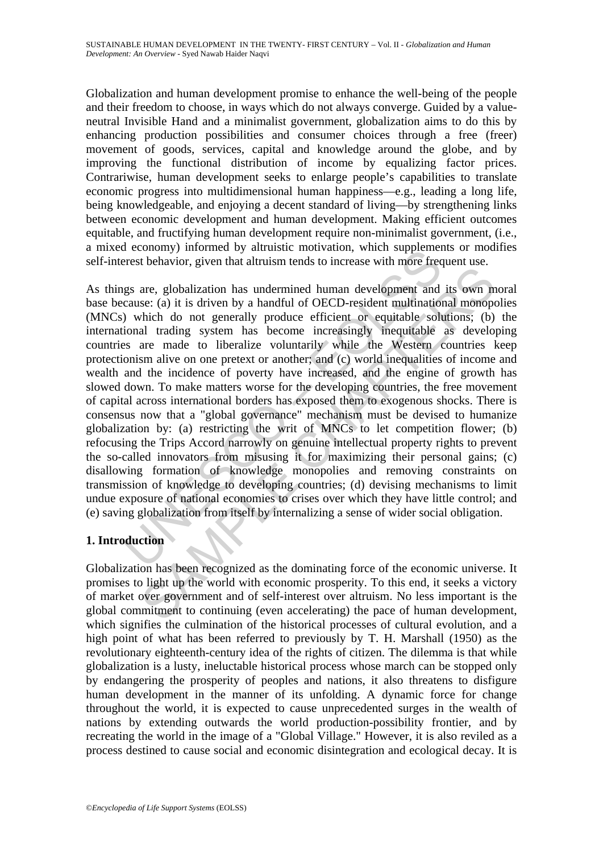Globalization and human development promise to enhance the well-being of the people and their freedom to choose, in ways which do not always converge. Guided by a valueneutral Invisible Hand and a minimalist government, globalization aims to do this by enhancing production possibilities and consumer choices through a free (freer) movement of goods, services, capital and knowledge around the globe, and by improving the functional distribution of income by equalizing factor prices. Contrariwise, human development seeks to enlarge people's capabilities to translate economic progress into multidimensional human happiness—e.g., leading a long life, being knowledgeable, and enjoying a decent standard of living—by strengthening links between economic development and human development. Making efficient outcomes equitable, and fructifying human development require non-minimalist government, (i.e., a mixed economy) informed by altruistic motivation, which supplements or modifies self-interest behavior, given that altruism tends to increase with more frequent use.

Fraction by informed by antiastic motivation, winch supprement<br>rest behavior, given that altruism tends to increase with more free<br>gs are, globalization has undermined human development and<br>cause: (a) it is driven by a han are, globalization has undernined human development and its own mse: (a) it is driven by a handful of OECD-resident multinational monopolical<br>strict do not generally produce efficient or equitable solutions; (b)<br>al trading As things are, globalization has undermined human development and its own moral base because: (a) it is driven by a handful of OECD-resident multinational monopolies (MNCs) which do not generally produce efficient or equitable solutions; (b) the international trading system has become increasingly inequitable as developing countries are made to liberalize voluntarily while the Western countries keep protectionism alive on one pretext or another; and (c) world inequalities of income and wealth and the incidence of poverty have increased, and the engine of growth has slowed down. To make matters worse for the developing countries, the free movement of capital across international borders has exposed them to exogenous shocks. There is consensus now that a "global governance" mechanism must be devised to humanize globalization by: (a) restricting the writ of MNCs to let competition flower; (b) refocusing the Trips Accord narrowly on genuine intellectual property rights to prevent the so-called innovators from misusing it for maximizing their personal gains; (c) disallowing formation of knowledge monopolies and removing constraints on transmission of knowledge to developing countries; (d) devising mechanisms to limit undue exposure of national economies to crises over which they have little control; and (e) saving globalization from itself by internalizing a sense of wider social obligation.

# **1. Introduction**

Globalization has been recognized as the dominating force of the economic universe. It promises to light up the world with economic prosperity. To this end, it seeks a victory of market over government and of self-interest over altruism. No less important is the global commitment to continuing (even accelerating) the pace of human development, which signifies the culmination of the historical processes of cultural evolution, and a high point of what has been referred to previously by T. H. Marshall (1950) as the revolutionary eighteenth-century idea of the rights of citizen. The dilemma is that while globalization is a lusty, ineluctable historical process whose march can be stopped only by endangering the prosperity of peoples and nations, it also threatens to disfigure human development in the manner of its unfolding. A dynamic force for change throughout the world, it is expected to cause unprecedented surges in the wealth of nations by extending outwards the world production-possibility frontier, and by recreating the world in the image of a "Global Village." However, it is also reviled as a process destined to cause social and economic disintegration and ecological decay. It is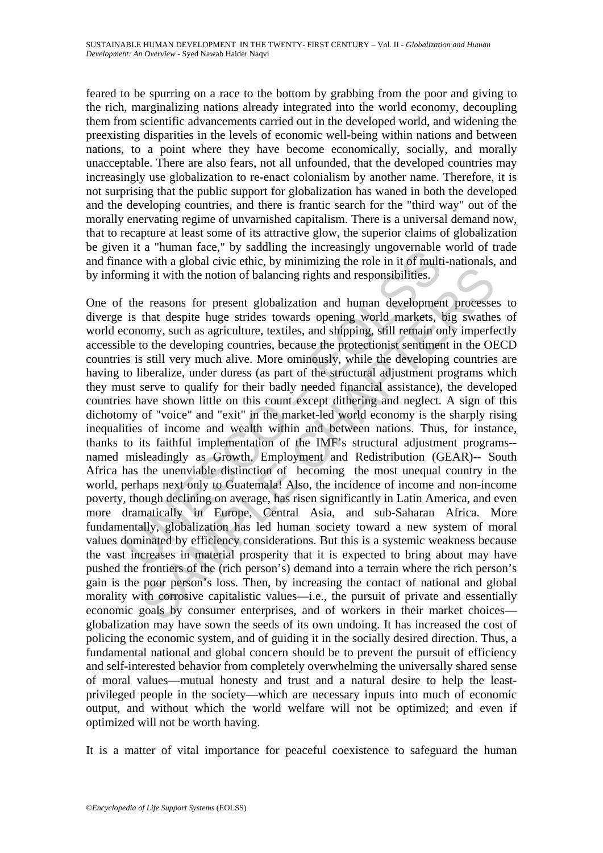feared to be spurring on a race to the bottom by grabbing from the poor and giving to the rich, marginalizing nations already integrated into the world economy, decoupling them from scientific advancements carried out in the developed world, and widening the preexisting disparities in the levels of economic well-being within nations and between nations, to a point where they have become economically, socially, and morally unacceptable. There are also fears, not all unfounded, that the developed countries may increasingly use globalization to re-enact colonialism by another name. Therefore, it is not surprising that the public support for globalization has waned in both the developed and the developing countries, and there is frantic search for the "third way" out of the morally enervating regime of unvarnished capitalism. There is a universal demand now, that to recapture at least some of its attractive glow, the superior claims of globalization be given it a "human face," by saddling the increasingly ungovernable world of trade and finance with a global civic ethic, by minimizing the role in it of multi-nationals, and by informing it with the notion of balancing rights and responsibilities.

In a numian race, by sadaing the interessing our solution and the role in the fundaminate, with a global civic ethic, by minimizing the relation and the reasons for present globalization and human developmen is that despit ing it with the notion of balancing rights and responsibilities.<br>
e reasons for present globalization and human development processe<br>
that despite huge strides towards opening world markets, big swathe<br>
nomy, such as agric One of the reasons for present globalization and human development processes to diverge is that despite huge strides towards opening world markets, big swathes of world economy, such as agriculture, textiles, and shipping, still remain only imperfectly accessible to the developing countries, because the protectionist sentiment in the OECD countries is still very much alive. More ominously, while the developing countries are having to liberalize, under duress (as part of the structural adjustment programs which they must serve to qualify for their badly needed financial assistance), the developed countries have shown little on this count except dithering and neglect. A sign of this dichotomy of "voice" and "exit" in the market-led world economy is the sharply rising inequalities of income and wealth within and between nations. Thus, for instance, thanks to its faithful implementation of the IMF's structural adjustment programs- named misleadingly as Growth, Employment and Redistribution (GEAR)-- South Africa has the unenviable distinction of becoming the most unequal country in the world, perhaps next only to Guatemala! Also, the incidence of income and non-income poverty, though declining on average, has risen significantly in Latin America, and even more dramatically in Europe, Central Asia, and sub-Saharan Africa. More fundamentally, globalization has led human society toward a new system of moral values dominated by efficiency considerations. But this is a systemic weakness because the vast increases in material prosperity that it is expected to bring about may have pushed the frontiers of the (rich person's) demand into a terrain where the rich person's gain is the poor person's loss. Then, by increasing the contact of national and global morality with corrosive capitalistic values—i.e., the pursuit of private and essentially economic goals by consumer enterprises, and of workers in their market choices globalization may have sown the seeds of its own undoing. It has increased the cost of policing the economic system, and of guiding it in the socially desired direction. Thus, a fundamental national and global concern should be to prevent the pursuit of efficiency and self-interested behavior from completely overwhelming the universally shared sense of moral values—mutual honesty and trust and a natural desire to help the leastprivileged people in the society—which are necessary inputs into much of economic output, and without which the world welfare will not be optimized; and even if optimized will not be worth having.

It is a matter of vital importance for peaceful coexistence to safeguard the human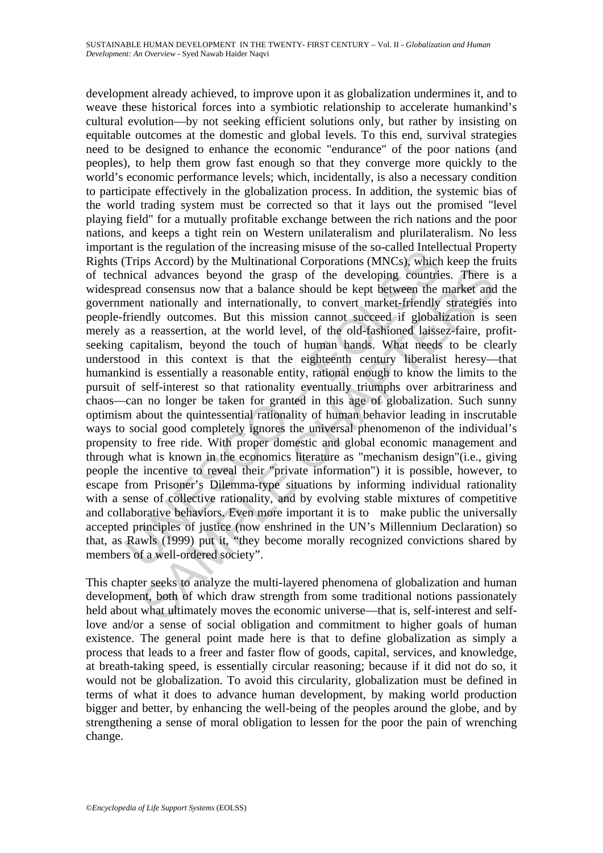In the unergation of the interesting imakes of the so-callement in the UN's Accord) by the Multinational Corporations (MNCs), which inical advances beyond the grasp of the developing countrieved consensus now that a balanc and advances beyond the grasp of the developing countries. There<br>all advances beyond the grasp of the developing countries. There<br>consensus now that a balance should be kept between the market and<br>that incurally and intern development already achieved, to improve upon it as globalization undermines it, and to weave these historical forces into a symbiotic relationship to accelerate humankind's cultural evolution—by not seeking efficient solutions only, but rather by insisting on equitable outcomes at the domestic and global levels. To this end, survival strategies need to be designed to enhance the economic "endurance" of the poor nations (and peoples), to help them grow fast enough so that they converge more quickly to the world's economic performance levels; which, incidentally, is also a necessary condition to participate effectively in the globalization process. In addition, the systemic bias of the world trading system must be corrected so that it lays out the promised "level playing field" for a mutually profitable exchange between the rich nations and the poor nations, and keeps a tight rein on Western unilateralism and plurilateralism. No less important is the regulation of the increasing misuse of the so-called Intellectual Property Rights (Trips Accord) by the Multinational Corporations (MNCs), which keep the fruits of technical advances beyond the grasp of the developing countries. There is a widespread consensus now that a balance should be kept between the market and the government nationally and internationally, to convert market-friendly strategies into people-friendly outcomes. But this mission cannot succeed if globalization is seen merely as a reassertion, at the world level, of the old-fashioned laissez-faire, profitseeking capitalism, beyond the touch of human hands. What needs to be clearly understood in this context is that the eighteenth century liberalist heresy—that humankind is essentially a reasonable entity, rational enough to know the limits to the pursuit of self-interest so that rationality eventually triumphs over arbitrariness and chaos—can no longer be taken for granted in this age of globalization. Such sunny optimism about the quintessential rationality of human behavior leading in inscrutable ways to social good completely ignores the universal phenomenon of the individual's propensity to free ride. With proper domestic and global economic management and through what is known in the economics literature as "mechanism design"(i.e., giving people the incentive to reveal their "private information") it is possible, however, to escape from Prisoner's Dilemma-type situations by informing individual rationality with a sense of collective rationality, and by evolving stable mixtures of competitive and collaborative behaviors. Even more important it is to make public the universally accepted principles of justice (now enshrined in the UN's Millennium Declaration) so that, as Rawls (1999) put it, "they become morally recognized convictions shared by members of a well-ordered society".

This chapter seeks to analyze the multi-layered phenomena of globalization and human development, both of which draw strength from some traditional notions passionately held about what ultimately moves the economic universe—that is, self-interest and selflove and/or a sense of social obligation and commitment to higher goals of human existence. The general point made here is that to define globalization as simply a process that leads to a freer and faster flow of goods, capital, services, and knowledge, at breath-taking speed, is essentially circular reasoning; because if it did not do so, it would not be globalization. To avoid this circularity, globalization must be defined in terms of what it does to advance human development, by making world production bigger and better, by enhancing the well-being of the peoples around the globe, and by strengthening a sense of moral obligation to lessen for the poor the pain of wrenching change.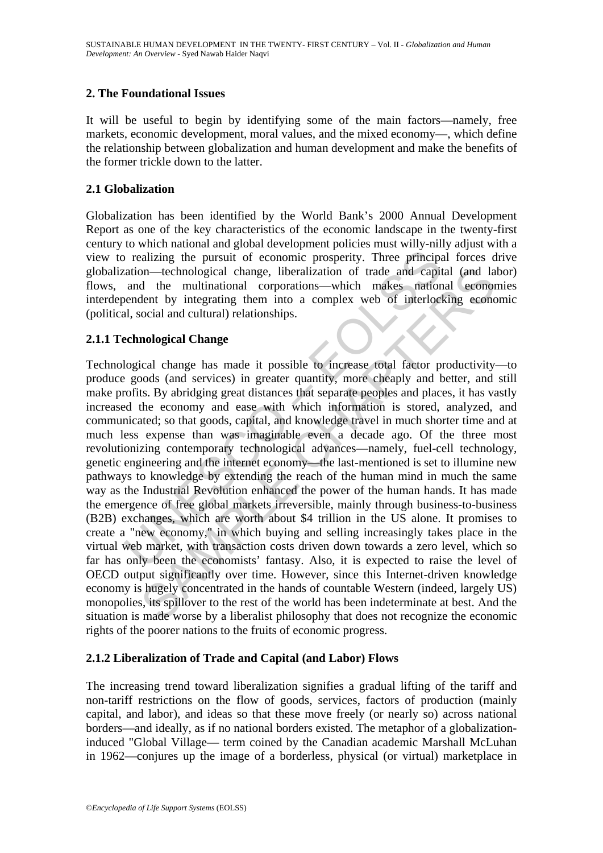# **2. The Foundational Issues**

It will be useful to begin by identifying some of the main factors—namely, free markets, economic development, moral values, and the mixed economy—, which define the relationship between globalization and human development and make the benefits of the former trickle down to the latter.

#### **2.1 Globalization**

Globalization has been identified by the World Bank's 2000 Annual Development Report as one of the key characteristics of the economic landscape in the twenty-first century to which national and global development policies must willy-nilly adjust with a view to realizing the pursuit of economic prosperity. Three principal forces drive globalization—technological change, liberalization of trade and capital (and labor) flows, and the multinational corporations—which makes national economies interdependent by integrating them into a complex web of interlocking economic (political, social and cultural) relationships.

### **2.1.1 Technological Change**

The parallel parallel parallel method is attention-<br>
or realizing the pursuit of economic prosperity. Three princips<br>
and the multinational corporations—which makes nation<br>
endent by integrating them into a complex web of on-technological change, liberalization of trade and capital (and la<br>d the multinational corporations—which makes national econon<br>dent by integrating them into a complex web of interlocking econe<br>occial and cultural) relat Technological change has made it possible to increase total factor productivity—to produce goods (and services) in greater quantity, more cheaply and better, and still make profits. By abridging great distances that separate peoples and places, it has vastly increased the economy and ease with which information is stored, analyzed, and communicated; so that goods, capital, and knowledge travel in much shorter time and at much less expense than was imaginable even a decade ago. Of the three most revolutionizing contemporary technological advances—namely, fuel-cell technology, genetic engineering and the internet economy—the last-mentioned is set to illumine new pathways to knowledge by extending the reach of the human mind in much the same way as the Industrial Revolution enhanced the power of the human hands. It has made the emergence of free global markets irreversible, mainly through business-to-business (B2B) exchanges, which are worth about \$4 trillion in the US alone. It promises to create a "new economy," in which buying and selling increasingly takes place in the virtual web market, with transaction costs driven down towards a zero level, which so far has only been the economists' fantasy. Also, it is expected to raise the level of OECD output significantly over time. However, since this Internet-driven knowledge economy is hugely concentrated in the hands of countable Western (indeed, largely US) monopolies, its spillover to the rest of the world has been indeterminate at best. And the situation is made worse by a liberalist philosophy that does not recognize the economic rights of the poorer nations to the fruits of economic progress.

# **2.1.2 Liberalization of Trade and Capital (and Labor) Flows**

The increasing trend toward liberalization signifies a gradual lifting of the tariff and non-tariff restrictions on the flow of goods, services, factors of production (mainly capital, and labor), and ideas so that these move freely (or nearly so) across national borders—and ideally, as if no national borders existed. The metaphor of a globalizationinduced "Global Village— term coined by the Canadian academic Marshall McLuhan in 1962—conjures up the image of a borderless, physical (or virtual) marketplace in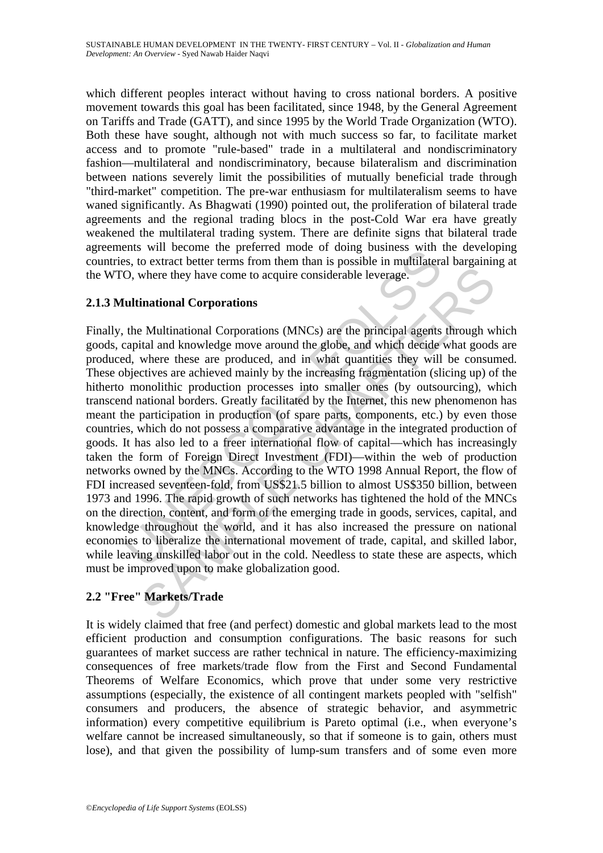which different peoples interact without having to cross national borders. A positive movement towards this goal has been facilitated, since 1948, by the General Agreement on Tariffs and Trade (GATT), and since 1995 by the World Trade Organization (WTO). Both these have sought, although not with much success so far, to facilitate market access and to promote "rule-based" trade in a multilateral and nondiscriminatory fashion—multilateral and nondiscriminatory, because bilateralism and discrimination between nations severely limit the possibilities of mutually beneficial trade through "third-market" competition. The pre-war enthusiasm for multilateralism seems to have waned significantly. As Bhagwati (1990) pointed out, the proliferation of bilateral trade agreements and the regional trading blocs in the post-Cold War era have greatly weakened the multilateral trading system. There are definite signs that bilateral trade agreements will become the preferred mode of doing business with the developing countries, to extract better terms from them than is possible in multilateral bargaining at the WTO, where they have come to acquire considerable leverage.

# **2.1.3 Multinational Corporations**

Ens win become the pieterical mode of doing business with example the preference in them is possible in multilaterated.<br>O, where they have come to acquire considerable leverage.<br>
O, where they have come to acquire consider Where they have come to acquire considerable leverage.<br> **Considerable leverage.**<br> **Considerable leverage.**<br> **Considerable leverage.**<br> **Considerable comes are protocol**, and in what quantities they whill be consumpted<br>
wher Finally, the Multinational Corporations (MNCs) are the principal agents through which goods, capital and knowledge move around the globe, and which decide what goods are produced, where these are produced, and in what quantities they will be consumed. These objectives are achieved mainly by the increasing fragmentation (slicing up) of the hitherto monolithic production processes into smaller ones (by outsourcing), which transcend national borders. Greatly facilitated by the Internet, this new phenomenon has meant the participation in production (of spare parts, components, etc.) by even those countries, which do not possess a comparative advantage in the integrated production of goods. It has also led to a freer international flow of capital—which has increasingly taken the form of Foreign Direct Investment (FDI)—within the web of production networks owned by the MNCs. According to the WTO 1998 Annual Report, the flow of FDI increased seventeen-fold, from US\$21.5 billion to almost US\$350 billion, between 1973 and 1996. The rapid growth of such networks has tightened the hold of the MNCs on the direction, content, and form of the emerging trade in goods, services, capital, and knowledge throughout the world, and it has also increased the pressure on national economies to liberalize the international movement of trade, capital, and skilled labor, while leaving unskilled labor out in the cold. Needless to state these are aspects, which must be improved upon to make globalization good.

# **2.2 "Free" Markets/Trade**

It is widely claimed that free (and perfect) domestic and global markets lead to the most efficient production and consumption configurations. The basic reasons for such guarantees of market success are rather technical in nature. The efficiency-maximizing consequences of free markets/trade flow from the First and Second Fundamental Theorems of Welfare Economics, which prove that under some very restrictive assumptions (especially, the existence of all contingent markets peopled with "selfish" consumers and producers, the absence of strategic behavior, and asymmetric information) every competitive equilibrium is Pareto optimal (i.e., when everyone's welfare cannot be increased simultaneously, so that if someone is to gain, others must lose), and that given the possibility of lump-sum transfers and of some even more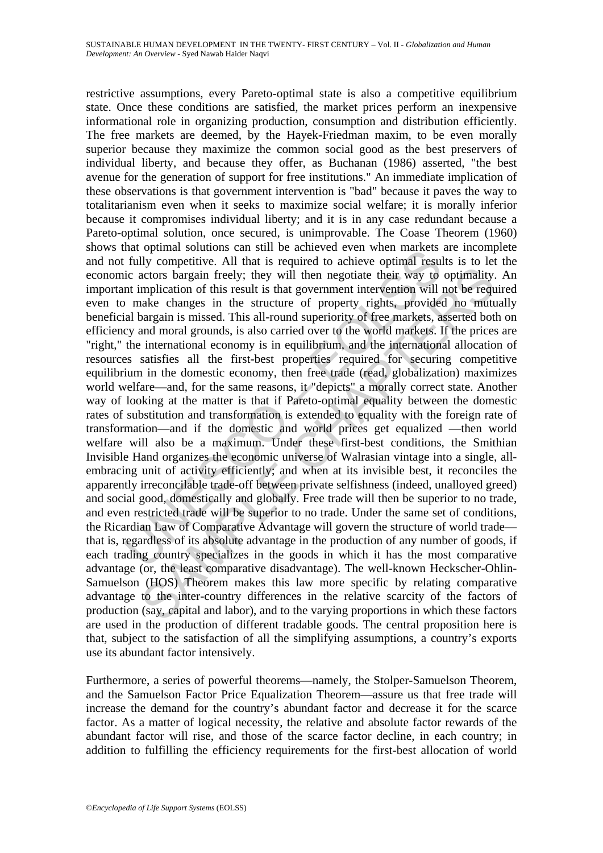In a bound solution can sure of earlieved even when markeds<br>fully competitive. All that is required to achieve optimal result<br>in checking in the signification of this result is that government intervention will in<br>the chan cross bargain freely; they will then negotiate their way to optimality, mplication of this result is that government intervention will not be requaled and anges in the structure of property rights, provided no muttamake ch restrictive assumptions, every Pareto-optimal state is also a competitive equilibrium state. Once these conditions are satisfied, the market prices perform an inexpensive informational role in organizing production, consumption and distribution efficiently. The free markets are deemed, by the Hayek-Friedman maxim, to be even morally superior because they maximize the common social good as the best preservers of individual liberty, and because they offer, as Buchanan (1986) asserted, "the best avenue for the generation of support for free institutions." An immediate implication of these observations is that government intervention is "bad" because it paves the way to totalitarianism even when it seeks to maximize social welfare; it is morally inferior because it compromises individual liberty; and it is in any case redundant because a Pareto-optimal solution, once secured, is unimprovable. The Coase Theorem (1960) shows that optimal solutions can still be achieved even when markets are incomplete and not fully competitive. All that is required to achieve optimal results is to let the economic actors bargain freely; they will then negotiate their way to optimality. An important implication of this result is that government intervention will not be required even to make changes in the structure of property rights, provided no mutually beneficial bargain is missed. This all-round superiority of free markets, asserted both on efficiency and moral grounds, is also carried over to the world markets. If the prices are "right," the international economy is in equilibrium, and the international allocation of resources satisfies all the first-best properties required for securing competitive equilibrium in the domestic economy, then free trade (read, globalization) maximizes world welfare—and, for the same reasons, it "depicts" a morally correct state. Another way of looking at the matter is that if Pareto-optimal equality between the domestic rates of substitution and transformation is extended to equality with the foreign rate of transformation—and if the domestic and world prices get equalized —then world welfare will also be a maximum. Under these first-best conditions, the Smithian Invisible Hand organizes the economic universe of Walrasian vintage into a single, allembracing unit of activity efficiently; and when at its invisible best, it reconciles the apparently irreconcilable trade-off between private selfishness (indeed, unalloyed greed) and social good, domestically and globally. Free trade will then be superior to no trade, and even restricted trade will be superior to no trade. Under the same set of conditions, the Ricardian Law of Comparative Advantage will govern the structure of world trade that is, regardless of its absolute advantage in the production of any number of goods, if each trading country specializes in the goods in which it has the most comparative advantage (or, the least comparative disadvantage). The well-known Heckscher-Ohlin-Samuelson (HOS) Theorem makes this law more specific by relating comparative advantage to the inter-country differences in the relative scarcity of the factors of production (say, capital and labor), and to the varying proportions in which these factors are used in the production of different tradable goods. The central proposition here is that, subject to the satisfaction of all the simplifying assumptions, a country's exports use its abundant factor intensively.

Furthermore, a series of powerful theorems—namely, the Stolper-Samuelson Theorem, and the Samuelson Factor Price Equalization Theorem—assure us that free trade will increase the demand for the country's abundant factor and decrease it for the scarce factor. As a matter of logical necessity, the relative and absolute factor rewards of the abundant factor will rise, and those of the scarce factor decline, in each country; in addition to fulfilling the efficiency requirements for the first-best allocation of world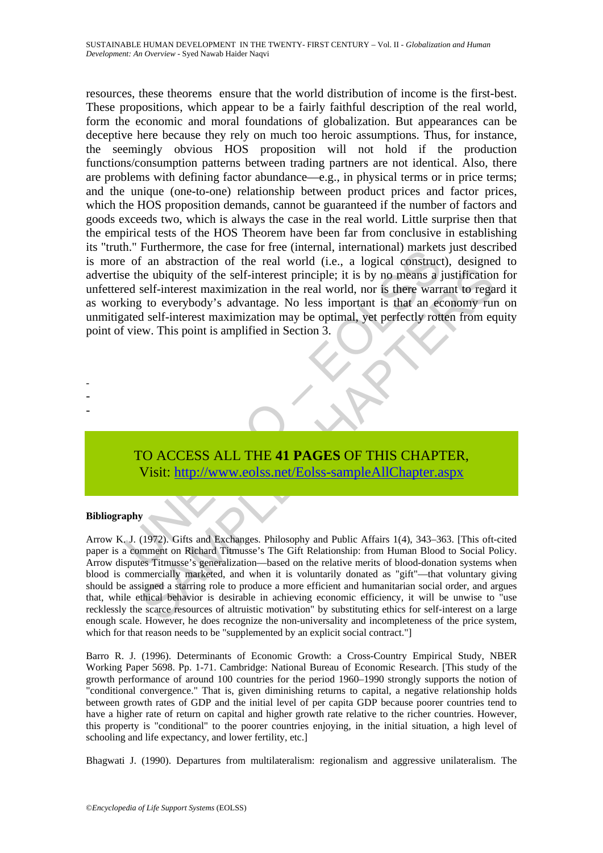1. Tuttentimole, the case to the teleformal, imethantomal planetes of an abstraction of the real world (i.e., a logical constructe the ubiquity of the self-interest principle; it is by no means a jeed self-interest maximiz resources, these theorems ensure that the world distribution of income is the first-best. These propositions, which appear to be a fairly faithful description of the real world, form the economic and moral foundations of globalization. But appearances can be deceptive here because they rely on much too heroic assumptions. Thus, for instance, the seemingly obvious HOS proposition will not hold if the production functions/consumption patterns between trading partners are not identical. Also, there are problems with defining factor abundance—e.g., in physical terms or in price terms; and the unique (one-to-one) relationship between product prices and factor prices, which the HOS proposition demands, cannot be guaranteed if the number of factors and goods exceeds two, which is always the case in the real world. Little surprise then that the empirical tests of the HOS Theorem have been far from conclusive in establishing its "truth." Furthermore, the case for free (internal, international) markets just described is more of an abstraction of the real world (i.e., a logical construct), designed to advertise the ubiquity of the self-interest principle; it is by no means a justification for unfettered self-interest maximization in the real world, nor is there warrant to regard it as working to everybody's advantage. No less important is that an economy run on unmitigated self-interest maximization may be optimal, yet perfectly rotten from equity point of view. This point is amplified in Section 3.

# TO ACCESS ALL THE **41 PAGES** OF THIS CHAPTER, Visit: http://www.eolss.net/Eolss-sampleAllChapter.aspx

#### **Bibliography**

- - -

The uniquity of the self-interest principle; it is by no means a justification<br>self-interest maximization in the real world, nor is there warrant to regare<br>the characteristic self-interest maximization in the real world, n Arrow K. J. (1972). Gifts and Exchanges. Philosophy and Public Affairs 1(4), 343–363. [This oft-cited paper is a comment on Richard Titmusse's The Gift Relationship: from Human Blood to Social Policy. Arrow disputes Titmusse's generalization—based on the relative merits of blood-donation systems when blood is commercially marketed, and when it is voluntarily donated as "gift"—that voluntary giving should be assigned a starring role to produce a more efficient and humanitarian social order, and argues that, while ethical behavior is desirable in achieving economic efficiency, it will be unwise to "use recklessly the scarce resources of altruistic motivation" by substituting ethics for self-interest on a large enough scale. However, he does recognize the non-universality and incompleteness of the price system, which for that reason needs to be "supplemented by an explicit social contract."]

Barro R. J. (1996). Determinants of Economic Growth: a Cross-Country Empirical Study, NBER Working Paper 5698. Pp. 1-71. Cambridge: National Bureau of Economic Research. [This study of the growth performance of around 100 countries for the period 1960–1990 strongly supports the notion of "conditional convergence." That is, given diminishing returns to capital, a negative relationship holds between growth rates of GDP and the initial level of per capita GDP because poorer countries tend to have a higher rate of return on capital and higher growth rate relative to the richer countries. However, this property is "conditional" to the poorer countries enjoying, in the initial situation, a high level of schooling and life expectancy, and lower fertility, etc.]

Bhagwati J. (1990). Departures from multilateralism: regionalism and aggressive unilateralism. The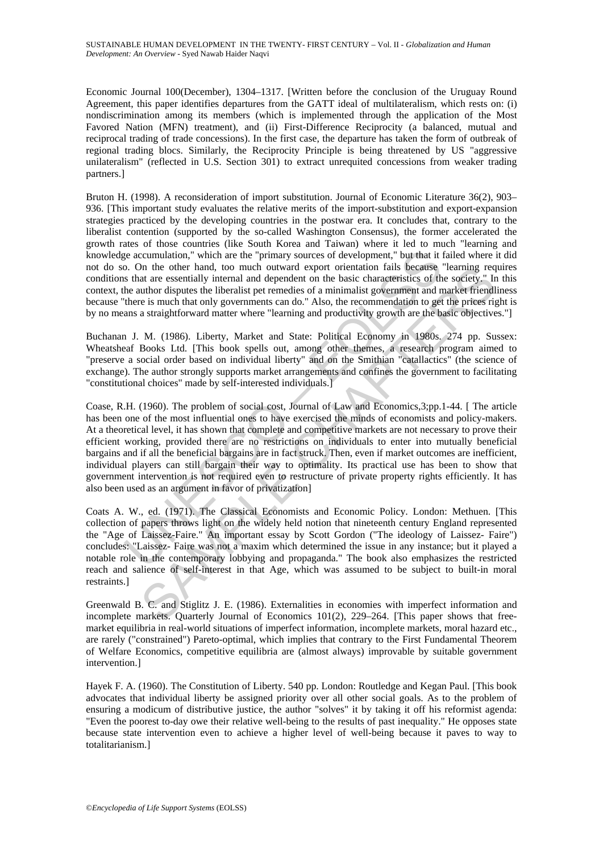Economic Journal 100(December), 1304–1317. [Written before the conclusion of the Uruguay Round Agreement, this paper identifies departures from the GATT ideal of multilateralism, which rests on: (i) nondiscrimination among its members (which is implemented through the application of the Most Favored Nation (MFN) treatment), and (ii) First-Difference Reciprocity (a balanced, mutual and reciprocal trading of trade concessions). In the first case, the departure has taken the form of outbreak of regional trading blocs. Similarly, the Reciprocity Principle is being threatened by US "aggressive unilateralism" (reflected in U.S. Section 301) to extract unrequited concessions from weaker trading partners.]

Bruton H. (1998). A reconsideration of import substitution. Journal of Economic Literature 36(2), 903– 936. [This important study evaluates the relative merits of the import-substitution and export-expansion strategies practiced by the developing countries in the postwar era. It concludes that, contrary to the liberalist contention (supported by the so-called Washington Consensus), the former accelerated the growth rates of those countries (like South Korea and Taiwan) where it led to much "learning and knowledge accumulation," which are the "primary sources of development," but that it failed where it did not do so. On the other hand, too much outward export orientation fails because "learning requires conditions that are essentially internal and dependent on the basic characteristics of the society." In this context, the author disputes the liberalist pet remedies of a minimalist government and market friendliness because "there is much that only governments can do." Also, the recommendation to get the prices right is by no means a straightforward matter where "learning and productivity growth are the basic objectives."]

Buchanan J. M. (1986). Liberty, Market and State: Political Economy in 1980s. 274 pp. Sussex: Wheatsheaf Books Ltd. [This book spells out, among other themes, a research program aimed to "preserve a social order based on individual liberty" and on the Smithian "catallactics" (the science of exchange). The author strongly supports market arrangements and confines the government to facilitating "constitutional choices" made by self-interested individuals.]

is a cocumulation," which are the "primary sources of development," but that it is one of the cher hand, too undo outward expert orientation fails because of the author displects of the author displects of the author displ In the other hand, too much outward export orientation latts because "learning requires<br>at are essentially internal and dependent on the basic characteristics of the society." In<br>tuthor disputes the liberalist pet remedie Coase, R.H. (1960). The problem of social cost, Journal of Law and Economics,3;pp.1-44. [ The article has been one of the most influential ones to have exercised the minds of economists and policy-makers. At a theoretical level, it has shown that complete and competitive markets are not necessary to prove their efficient working, provided there are no restrictions on individuals to enter into mutually beneficial bargains and if all the beneficial bargains are in fact struck. Then, even if market outcomes are inefficient, individual players can still bargain their way to optimality. Its practical use has been to show that government intervention is not required even to restructure of private property rights efficiently. It has also been used as an argument in favor of privatization]

Coats A. W., ed. (1971). The Classical Economists and Economic Policy. London: Methuen. [This collection of papers throws light on the widely held notion that nineteenth century England represented the "Age of Laissez-Faire." An important essay by Scott Gordon ("The ideology of Laissez- Faire") concludes: "Laissez- Faire was not a maxim which determined the issue in any instance; but it played a notable role in the contemporary lobbying and propaganda." The book also emphasizes the restricted reach and salience of self-interest in that Age, which was assumed to be subject to built-in moral restraints.]

Greenwald B. C. and Stiglitz J. E. (1986). Externalities in economies with imperfect information and incomplete markets. Quarterly Journal of Economics 101(2), 229–264. [This paper shows that freemarket equilibria in real-world situations of imperfect information, incomplete markets, moral hazard etc., are rarely ("constrained") Pareto-optimal, which implies that contrary to the First Fundamental Theorem of Welfare Economics, competitive equilibria are (almost always) improvable by suitable government intervention.]

Hayek F. A. (1960). The Constitution of Liberty. 540 pp. London: Routledge and Kegan Paul. [This book advocates that individual liberty be assigned priority over all other social goals. As to the problem of ensuring a modicum of distributive justice, the author "solves" it by taking it off his reformist agenda: "Even the poorest to-day owe their relative well-being to the results of past inequality." He opposes state because state intervention even to achieve a higher level of well-being because it paves to way to totalitarianism.]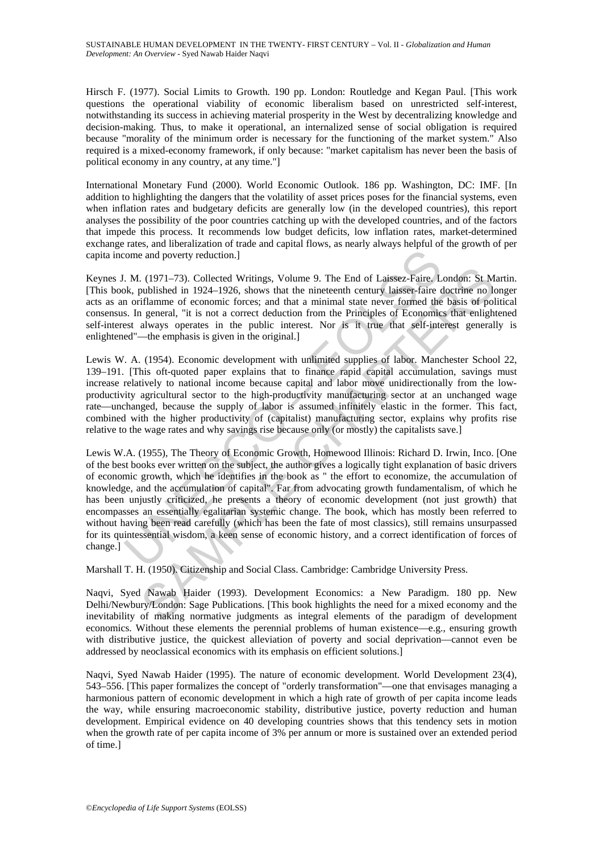Hirsch F. (1977). Social Limits to Growth. 190 pp. London: Routledge and Kegan Paul. [This work questions the operational viability of economic liberalism based on unrestricted self-interest, notwithstanding its success in achieving material prosperity in the West by decentralizing knowledge and decision-making. Thus, to make it operational, an internalized sense of social obligation is required because "morality of the minimum order is necessary for the functioning of the market system." Also required is a mixed-economy framework, if only because: "market capitalism has never been the basis of political economy in any country, at any time."]

International Monetary Fund (2000). World Economic Outlook. 186 pp. Washington, DC: IMF. [In addition to highlighting the dangers that the volatility of asset prices poses for the financial systems, even when inflation rates and budgetary deficits are generally low (in the developed countries), this report analyses the possibility of the poor countries catching up with the developed countries, and of the factors that impede this process. It recommends low budget deficits, low inflation rates, market-determined exchange rates, and liberalization of trade and capital flows, as nearly always helpful of the growth of per capita income and poverty reduction.]

Keynes J. M. (1971–73). Collected Writings, Volume 9. The End of Laissez-Faire. London: St Martin. [This book, published in 1924–1926, shows that the nineteenth century laisser-faire doctrine no longer acts as an oriflamme of economic forces; and that a minimal state never formed the basis of political consensus. In general, "it is not a correct deduction from the Principles of Economics that enlightened self-interest always operates in the public interest. Nor is it true that self-interest generally is enlightened"—the emphasis is given in the original.]

Lewis W. A. (1954). Economic development with unlimited supplies of labor. Manchester School 22, 139–191. [This oft-quoted paper explains that to finance rapid capital accumulation, savings must increase relatively to national income because capital and labor move unidirectionally from the lowproductivity agricultural sector to the high-productivity manufacturing sector at an unchanged wage rate—unchanged, because the supply of labor is assumed infinitely elastic in the former. This fact, combined with the higher productivity of (capitalist) manufacturing sector, explains why profits rise relative to the wage rates and why savings rise because only (or mostly) the capitalists save.]

come and poverty reduction.]<br>
M. (1971–73). Collected Writings, Volume 9. The End of Laissez-Faire. L<br>
Mk, published in 1924–1926, shows that the nineteenth century laisser-faire.<br>
Mk, published in 1924–1926, shows that th . (1971–73). Collected Writings, Volume 9. The End of Laissez-Faire, London: St Mublished in 1924–1926, shows that the nineteenth century laisser-faire doctrine no le control filement of conomic forces; and that a minimal Lewis W.A. (1955), The Theory of Economic Growth, Homewood Illinois: Richard D. Irwin, Inco. [One of the best books ever written on the subject, the author gives a logically tight explanation of basic drivers of economic growth, which he identifies in the book as " the effort to economize, the accumulation of knowledge, and the accumulation of capital". Far from advocating growth fundamentalism, of which he has been unjustly criticized, he presents a theory of economic development (not just growth) that encompasses an essentially egalitarian systemic change. The book, which has mostly been referred to without having been read carefully (which has been the fate of most classics), still remains unsurpassed for its quintessential wisdom, a keen sense of economic history, and a correct identification of forces of change.]

Marshall T. H. (1950). Citizenship and Social Class. Cambridge: Cambridge University Press.

Naqvi, Syed Nawab Haider (1993). Development Economics: a New Paradigm. 180 pp. New Delhi/Newbury/London: Sage Publications. [This book highlights the need for a mixed economy and the inevitability of making normative judgments as integral elements of the paradigm of development economics. Without these elements the perennial problems of human existence—e.g., ensuring growth with distributive justice, the quickest alleviation of poverty and social deprivation—cannot even be addressed by neoclassical economics with its emphasis on efficient solutions.]

Naqvi, Syed Nawab Haider (1995). The nature of economic development. World Development 23(4), 543–556. [This paper formalizes the concept of "orderly transformation"—one that envisages managing a harmonious pattern of economic development in which a high rate of growth of per capita income leads the way, while ensuring macroeconomic stability, distributive justice, poverty reduction and human development. Empirical evidence on 40 developing countries shows that this tendency sets in motion when the growth rate of per capita income of 3% per annum or more is sustained over an extended period of time.]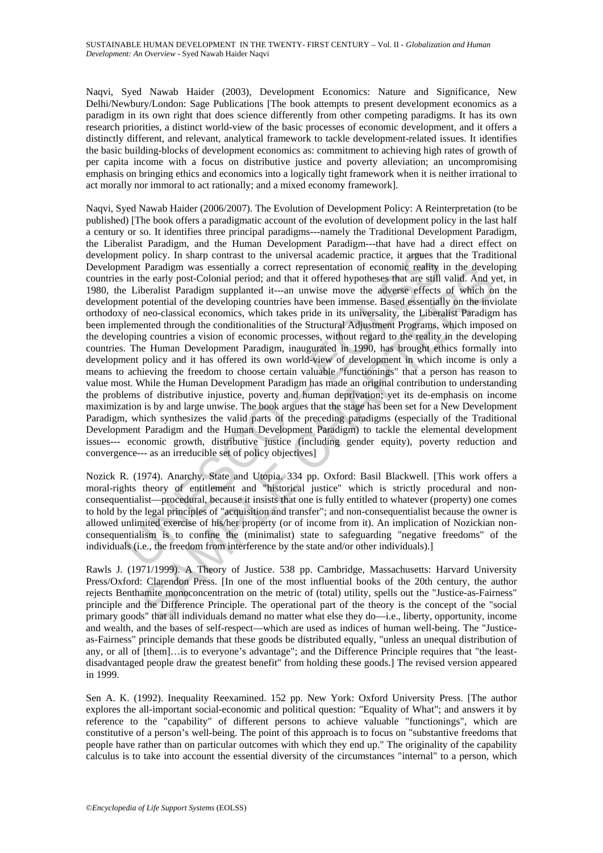Naqvi, Syed Nawab Haider (2003), Development Economics: Nature and Significance, New Delhi/Newbury/London: Sage Publications [The book attempts to present development economics as a paradigm in its own right that does science differently from other competing paradigms. It has its own research priorities, a distinct world-view of the basic processes of economic development, and it offers a distinctly different, and relevant, analytical framework to tackle development-related issues. It identifies the basic building-blocks of development economics as: commitment to achieving high rates of growth of per capita income with a focus on distributive justice and poverty alleviation; an uncompromising emphasis on bringing ethics and economics into a logically tight framework when it is neither irrational to act morally nor immoral to act rationally; and a mixed economy framework].

nent policy. In sharp contrast to the universal academic practice, it argues then the randigem was essentially a correct representation of conomic reality<br>in the early post-Colonial period; and that it offered hypotheses t Franchino was essentially a correct representation of economic radiity in the developed<br>nee carly post-Colonial period; and that it offered hypotheses that are still valid. And y<br>beralist Paradigm supplanted it—an unwise Naqvi, Syed Nawab Haider (2006/2007). The Evolution of Development Policy: A Reinterpretation (to be published) [The book offers a paradigmatic account of the evolution of development policy in the last half a century or so. It identifies three principal paradigms---namely the Traditional Development Paradigm, the Liberalist Paradigm, and the Human Development Paradigm---that have had a direct effect on development policy. In sharp contrast to the universal academic practice, it argues that the Traditional Development Paradigm was essentially a correct representation of economic reality in the developing countries in the early post-Colonial period; and that it offered hypotheses that are still valid. And yet, in 1980, the Liberalist Paradigm supplanted it---an unwise move the adverse effects of which on the development potential of the developing countries have been immense. Based essentially on the inviolate orthodoxy of neo-classical economics, which takes pride in its universality, the Liberalist Paradigm has been implemented through the conditionalities of the Structural Adjustment Programs, which imposed on the developing countries a vision of economic processes, without regard to the reality in the developing countries. The Human Development Paradigm, inaugurated in 1990, has brought ethics formally into development policy and it has offered its own world-view of development in which income is only a means to achieving the freedom to choose certain valuable "functionings" that a person has reason to value most. While the Human Development Paradigm has made an original contribution to understanding the problems of distributive injustice, poverty and human deprivation; yet its de-emphasis on income maximization is by and large unwise. The book argues that the stage has been set for a New Development Paradigm, which synthesizes the valid parts of the preceding paradigms (especially of the Traditional Development Paradigm and the Human Development Paradigm) to tackle the elemental development issues--- economic growth, distributive justice (including gender equity), poverty reduction and convergence--- as an irreducible set of policy objectives]

Nozick R. (1974). Anarchy, State and Utopia. 334 pp. Oxford: Basil Blackwell. [This work offers a moral-rights theory of entitlement and "historical justice" which is strictly procedural and nonconsequentialist—procedural, because it insists that one is fully entitled to whatever (property) one comes to hold by the legal principles of "acquisition and transfer"; and non-consequentialist because the owner is allowed unlimited exercise of his/her property (or of income from it). An implication of Nozickian nonconsequentialism is to confine the (minimalist) state to safeguarding "negative freedoms" of the individuals (i.e., the freedom from interference by the state and/or other individuals).]

Rawls J. (1971/1999). A Theory of Justice. 538 pp. Cambridge, Massachusetts: Harvard University Press/Oxford: Clarendon Press. [In one of the most influential books of the 20th century, the author rejects Benthamite monoconcentration on the metric of (total) utility, spells out the "Justice-as-Fairness" principle and the Difference Principle. The operational part of the theory is the concept of the "social primary goods" that all individuals demand no matter what else they do—i.e., liberty, opportunity, income and wealth, and the bases of self-respect—which are used as indices of human well-being. The "Justiceas-Fairness" principle demands that these goods be distributed equally, "unless an unequal distribution of any, or all of [them]…is to everyone's advantage"; and the Difference Principle requires that "the leastdisadvantaged people draw the greatest benefit" from holding these goods.] The revised version appeared in 1999.

Sen A. K. (1992). Inequality Reexamined. 152 pp. New York: Oxford University Press. [The author explores the all-important social-economic and political question: "Equality of What"; and answers it by reference to the "capability" of different persons to achieve valuable "functionings", which are constitutive of a person's well-being. The point of this approach is to focus on "substantive freedoms that people have rather than on particular outcomes with which they end up." The originality of the capability calculus is to take into account the essential diversity of the circumstances "internal" to a person, which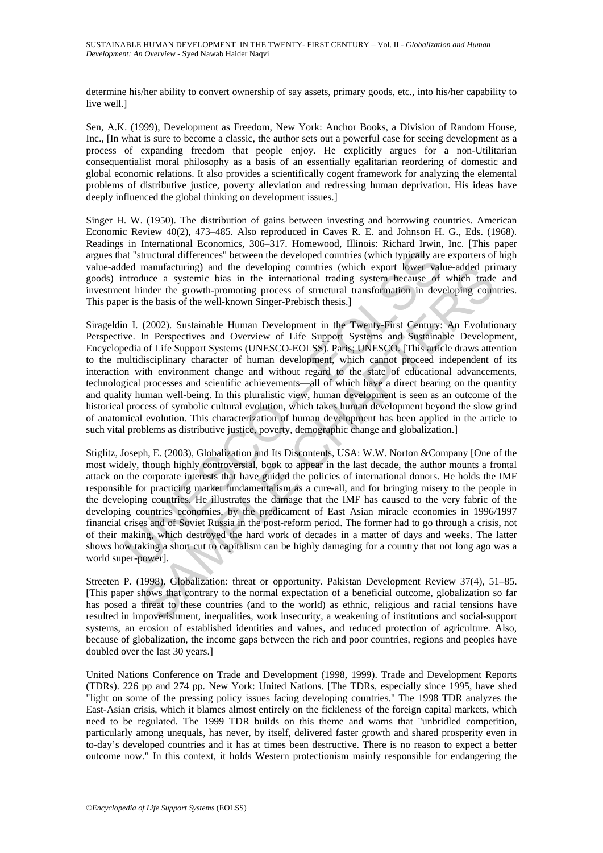determine his/her ability to convert ownership of say assets, primary goods, etc., into his/her capability to live well.]

Sen, A.K. (1999), Development as Freedom, New York: Anchor Books, a Division of Random House, Inc., [In what is sure to become a classic, the author sets out a powerful case for seeing development as a process of expanding freedom that people enjoy. He explicitly argues for a non-Utilitarian consequentialist moral philosophy as a basis of an essentially egalitarian reordering of domestic and global economic relations. It also provides a scientifically cogent framework for analyzing the elemental problems of distributive justice, poverty alleviation and redressing human deprivation. His ideas have deeply influenced the global thinking on development issues.]

Singer H. W. (1950). The distribution of gains between investing and borrowing countries. American Economic Review 40(2), 473–485. Also reproduced in Caves R. E. and Johnson H. G., Eds. (1968). Readings in International Economics, 306–317. Homewood, Illinois: Richard Irwin, Inc. [This paper argues that "structural differences" between the developed countries (which typically are exporters of high value-added manufacturing) and the developing countries (which export lower value-added primary goods) introduce a systemic bias in the international trading system because of which trade and investment hinder the growth-promoting process of structural transformation in developing countries. This paper is the basis of the well-known Singer-Prebisch thesis.]

at "structural differences" between the developed countries (which typically are<br>led manufacturing) and the developing countries (which export lower value<br>throduce a systemic bias in the international trading system becaus manulacturing) and the developing cointines (whinch export lower value-added principal and the and<br>mider the growth-promoting process of structural transformation in developing count-<br>the basis of the well-known Singer-Pre Sirageldin I. (2002). Sustainable Human Development in the Twenty-First Century: An Evolutionary Perspective. In Perspectives and Overview of Life Support Systems and Sustainable Development, Encyclopedia of Life Support Systems (UNESCO-EOLSS). Paris; UNESCO. [This article draws attention to the multidisciplinary character of human development, which cannot proceed independent of its interaction with environment change and without regard to the state of educational advancements, technological processes and scientific achievements—all of which have a direct bearing on the quantity and quality human well-being. In this pluralistic view, human development is seen as an outcome of the historical process of symbolic cultural evolution, which takes human development beyond the slow grind of anatomical evolution. This characterization of human development has been applied in the article to such vital problems as distributive justice, poverty, demographic change and globalization.]

Stiglitz, Joseph, E. (2003), Globalization and Its Discontents, USA: W.W. Norton &Company [One of the most widely, though highly controversial, book to appear in the last decade, the author mounts a frontal attack on the corporate interests that have guided the policies of international donors. He holds the IMF responsible for practicing market fundamentalism as a cure-all, and for bringing misery to the people in the developing countries. He illustrates the damage that the IMF has caused to the very fabric of the developing countries economies, by the predicament of East Asian miracle economies in 1996/1997 financial crises and of Soviet Russia in the post-reform period. The former had to go through a crisis, not of their making, which destroyed the hard work of decades in a matter of days and weeks. The latter shows how taking a short cut to capitalism can be highly damaging for a country that not long ago was a world super-power].

Streeten P. (1998). Globalization: threat or opportunity. Pakistan Development Review 37(4), 51–85. [This paper shows that contrary to the normal expectation of a beneficial outcome, globalization so far has posed a threat to these countries (and to the world) as ethnic, religious and racial tensions have resulted in impoverishment, inequalities, work insecurity, a weakening of institutions and social-support systems, an erosion of established identities and values, and reduced protection of agriculture. Also, because of globalization, the income gaps between the rich and poor countries, regions and peoples have doubled over the last 30 years.]

United Nations Conference on Trade and Development (1998, 1999). Trade and Development Reports (TDRs). 226 pp and 274 pp. New York: United Nations. [The TDRs, especially since 1995, have shed "light on some of the pressing policy issues facing developing countries." The 1998 TDR analyzes the East-Asian crisis, which it blames almost entirely on the fickleness of the foreign capital markets, which need to be regulated. The 1999 TDR builds on this theme and warns that "unbridled competition, particularly among unequals, has never, by itself, delivered faster growth and shared prosperity even in to-day's developed countries and it has at times been destructive. There is no reason to expect a better outcome now." In this context, it holds Western protectionism mainly responsible for endangering the